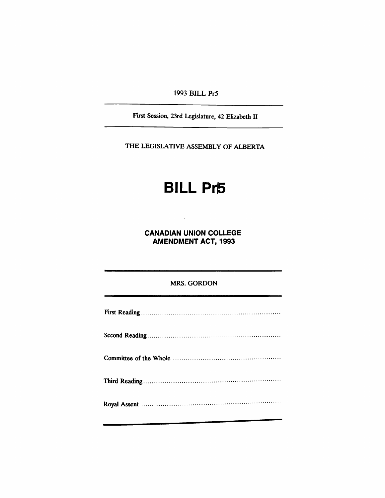1993 BILL PrS

First Session, 23rd Legislature, 42 Elizabeth II

THE LEGISLATIVE ASSEMBLY OF ALBERTA

## **BILL Pr5**

CANADIAN UNION COLLEGE AMENDMENT ACT, 1993

 $\hat{\mathbf{v}}$ 

## MRS. GORDON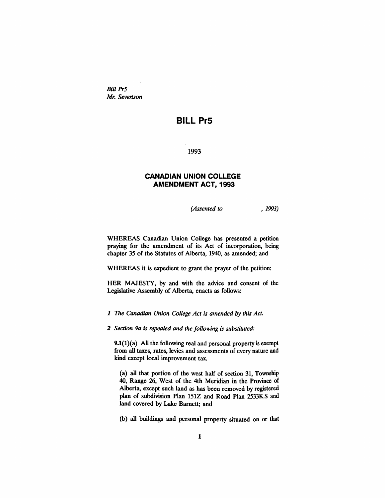*Bill Pr5 Mr. Severtson*

## **BILL Pr5**

1993

## **CANADIAN UNION COLLEGE AMENDMENT ACT, 1993**

*(Assented to* , 1993)

WHEREAS Canadian Union College has presented a petition praying for the amendment of its Act of incorporation, being chapter 35 of the Statutes of Alberta, 1940, as amended; and

WHEREAS it is expedient to grant the prayer of the petition:

HER MAJESTY, by and with the advice and consent of the Legislative Assembly of Alberta, enacts as follows:

*1 The Canadian Union College Act is amended by this Act.*

*2 Section 9a is repealed and the following is substituted:*

**9.1(1)(a)** All the following real and personal property is exempt from all taxes, rates, levies and assessments of every nature and kind except local improvement tax.

(a) all that portion of the west half of section 31, Township 40, Range 26, West of the 4th Meridian in the Province of Alberta, except such land as has been removed by registered plan of subdivision Plan 151Z and Road Plan 2533K.S and land covered by Lake Barnett; and

(b) all buildings and personal property situated on or that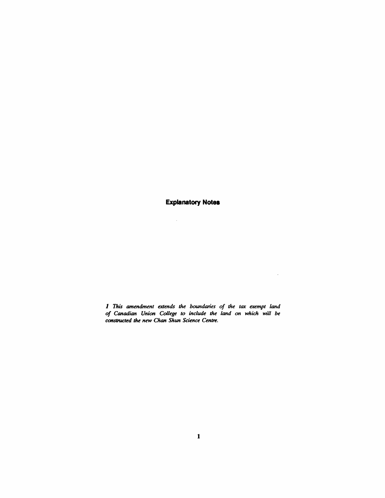**Explanatory Notes** 

 $\mathcal{A}^{\mathcal{A}}$ 

*1 This amendment extends the boundaries of the tax exempt land of Canadian Union College to include the land on which will be constructed the new Chan Shun Science Centre.*

 $\langle \rangle$